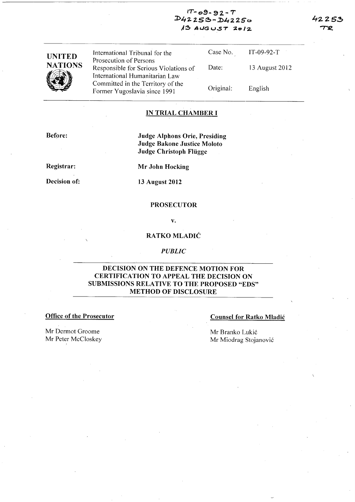| $IT - 09 - 92 - T$ |  |
|--------------------|--|
| $D42253 - D42250$  |  |
| $13$ AUGUST 2012   |  |

| UNITED  |  |
|---------|--|
| NATIONS |  |
|         |  |

International Tribunal for the Prosecution of Persons Responsible for Serious Violations of International Humanitarian Law Committed in the Territory of the Former Yugoslavia since 1991

Case No. Date: Original: IT-09-92-T 13 August 2012 English

# **IN TRIAL CHAMBER I**

Before:

**Judge Alphons Orie, Presiding Judge Bakone Justice Moloto Judge Christoph Fliigge** 

**Registrar:** 

**Decision of:** 

**Mr John Hocking** 

**13 August 2012** 

#### **PROSECUTOR**

v.

# **RA TKO MLADIC**

#### *PUBLIC*

## **DECISION ON THE DEFENCE MOTION FOR CERTIFICATION TO APPEAL THE DECISION ON SUBMISSIONS RELATIVE TO THE PROPOSED "EDS" METHOD OF DISCLOSURE**

**Office of the Prosecutor Counsel for Ratko Mladić** Counsel for Ratko Mladić

Mr Dermot Groome Mr Peter McCloskey Mr Branko Lukić Mr Miodrag Stojanović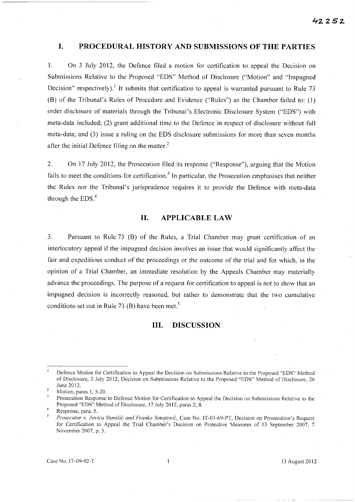# **I. PROCEDURAL HISTORY AND SUBMISSIONS OF THE PARTIES**

l. On 3 July 2012, the Defence filed a motion for certification to appeal the Decision on Submissions Relative to the Proposed "EDS" Method of Disclosure ("Motion" and "Impugned Decision" respectively).<sup>1</sup> It submits that certification to appeal is warranted pursuant to Rule 73 (B) of the Tribunal's Rules of Procedure and Evidence ("Rules") as the Chamber failed to: (1) order disclosure of materials through the Tribunal's Electronic Disclosure System ("EDS") with meta-data included; (2) grant additional time to the Defence in respect of disclosure without full meta-data; and (3) issue a ruling on the EDS disclosure submissions for more than seven months after the initial Defence filing on the matter. $<sup>2</sup>$ </sup>

2. On 17 July 2012, the Prosecution filed its response ("Response"), arguing that the Motion fails to meet the conditions for certification.<sup>3</sup> In particular, the Prosecution emphasises that neither the Rules nor the Tribunal's jurisprudence requires it to provide the Defence with meta-data through the  $EDS<sub>1</sub><sup>4</sup>$ 

### **11. APPLICABLE LAW**

.3. Pursuant to Rule 73 (B) of the. Rules, a Trial Chamber may grant certification of an interlocutory appeal if the impugned decision involves an issue that would significantly affect the fair and expeditious conduct of the proceedings or the outcome of the trial and for which,' in the opinion of a Trial Chamber, an immediate resolution by the Appeals Chamber may materially advance the proceedings. The purpose of a request for certification to appeal is not to show that an impugned decision is incorrectly reasoned, but rather to demonstrate that the two cumulative conditions set out in Rule 73 (B) have been met.<sup>5</sup>

## **Ill. DISCUSSION**

Defence Motion for Certification to Appeal the Decision on Submissions Relative to the Proposed "EDS" Method of Disclosure, 3 July 2012; Decision on Submissions Relative to the Proposed "EDS" Method of Disclosure, 26 , June 2012.

Motion, paras 1, 5-20.

Prosecution Response to Defence Motion for Certification to Appeal the Decision on Submissions Relative to the Proposed "EDS" Method of Disclosure, 17 July 2012, paras 2, 8.

<sup>4</sup>  Response, para. 5.

*Prosecutor* v. *Jov;ca Stan;s;c and Franko S;matov;c,* Case No. IT-03-69-PT, Decision on Prosecution's Request for Certification to Appeal the Trial Chamber's Decision on Protective Measures of 13 September 2007, 7 November 2007, p. 3.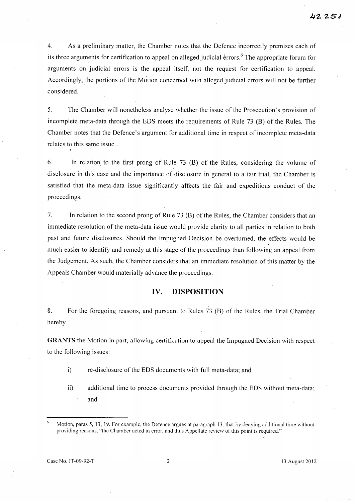4. As a preliminary matter, the Chamber notes that the Defence incorrectly premises each of its three arguments for certification to appeal on alleged judicial errors.<sup>6</sup> The appropriate forum for arguments on judicial errors is the appeal itself, not the request for certification to appeal. Accordingly, the portions of the Motion concerned with alleged judicial errors will not be further considered.

5. The Chamber will nonetheless analyse whether the issue of the Prosecution's provision of incomplete meta-data through the EDS meets the requirements of Rule 73 (B) of the Rules. The Chamber notes that the Defence's argument for additional time in respect of incomplete meta-data relates to this same issue.

6. In relation to the first prong of Rule 73 (B) of the Rules, considering the volume of disclosure in this case and the importance of disclosure in general to a fair trial, the Chamber is satisfied that the meta-data issue significantly affects the fair and expeditious conduct of the proceedings.

7. In relation to the second prong of Rule 73 (B) of the Rules, the Chamber considers that an immediate resolution of the meta-data issue would provide clarity to all parties in relation to both past and future disclosures. Should the Impugned Decision be overturned, the effects would be much easier to identify and remedy at this stage of the proceedings than following an appeal from the Judgement. As such, the Chamber considers that an immediate resolution of this matter by the Appeals Chamber would materially advance the proceedings.

#### **IV. DISPOSITION**

8. For the foregoing reasons, and pursuant to Rules 73 (B) of the Rules, the Trial Chamber hereby

GRANTS the Motion in part, allowing certification to appeal the Impugned Decision with respect to the following issues:

- i) re-disclosure of the EDS documents with full meta-data; and
- ii) additional time to process documents provided through the EDS without meta-data; and

-----------------------'-------

Motion, paras 5, 13, 19. For example, the Defence argues at paragraph 13, that by denying additional time without providing reasons, "the Chamber acted in error, and thus Appellate review of this point is required."